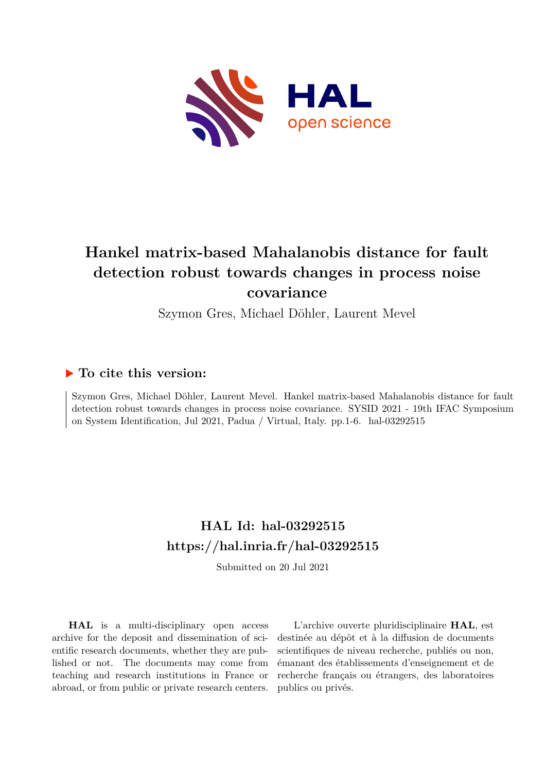

# **Hankel matrix-based Mahalanobis distance for fault detection robust towards changes in process noise covariance**

Szymon Gres, Michael Döhler, Laurent Mevel

## **To cite this version:**

Szymon Gres, Michael Döhler, Laurent Mevel. Hankel matrix-based Mahalanobis distance for fault detection robust towards changes in process noise covariance. SYSID 2021 - 19th IFAC Symposium on System Identification, Jul 2021, Padua / Virtual, Italy. pp.1-6. hal-03292515

## **HAL Id: hal-03292515 <https://hal.inria.fr/hal-03292515>**

Submitted on 20 Jul 2021

**HAL** is a multi-disciplinary open access archive for the deposit and dissemination of scientific research documents, whether they are published or not. The documents may come from teaching and research institutions in France or abroad, or from public or private research centers.

L'archive ouverte pluridisciplinaire **HAL**, est destinée au dépôt et à la diffusion de documents scientifiques de niveau recherche, publiés ou non, émanant des établissements d'enseignement et de recherche français ou étrangers, des laboratoires publics ou privés.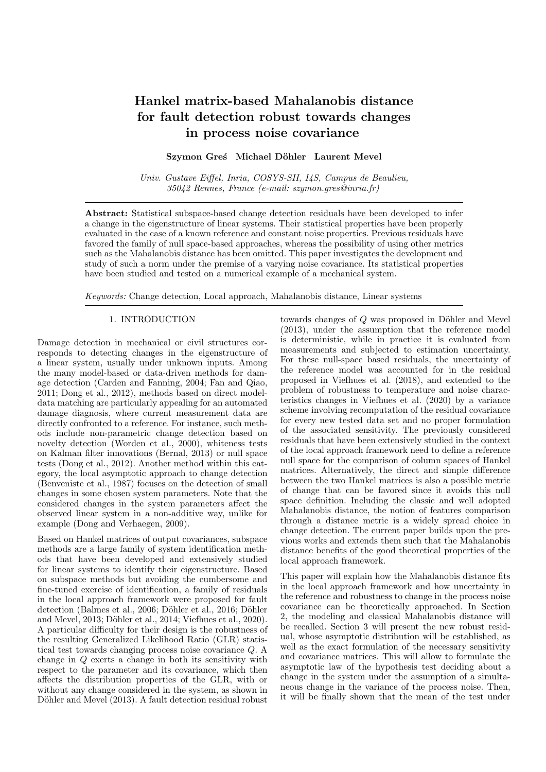## Hankel matrix-based Mahalanobis distance for fault detection robust towards changes in process noise covariance

#### Szymon Greś Michael Döhler Laurent Mevel

Univ. Gustave Eiffel, Inria, COSYS-SII, I4S, Campus de Beaulieu, 35042 Rennes, France (e-mail: szymon.gres@inria.fr)

Abstract: Statistical subspace-based change detection residuals have been developed to infer a change in the eigenstructure of linear systems. Their statistical properties have been properly evaluated in the case of a known reference and constant noise properties. Previous residuals have favored the family of null space-based approaches, whereas the possibility of using other metrics such as the Mahalanobis distance has been omitted. This paper investigates the development and study of such a norm under the premise of a varying noise covariance. Its statistical properties have been studied and tested on a numerical example of a mechanical system.

Keywords: Change detection, Local approach, Mahalanobis distance, Linear systems

#### 1. INTRODUCTION

Damage detection in mechanical or civil structures corresponds to detecting changes in the eigenstructure of a linear system, usually under unknown inputs. Among the many model-based or data-driven methods for damage detection (Carden and Fanning, 2004; Fan and Qiao, 2011; Dong et al., 2012), methods based on direct modeldata matching are particularly appealing for an automated damage diagnosis, where current measurement data are directly confronted to a reference. For instance, such methods include non-parametric change detection based on novelty detection (Worden et al., 2000), whiteness tests on Kalman filter innovations (Bernal, 2013) or null space tests (Dong et al., 2012). Another method within this category, the local asymptotic approach to change detection (Benveniste et al., 1987) focuses on the detection of small changes in some chosen system parameters. Note that the considered changes in the system parameters affect the observed linear system in a non-additive way, unlike for example (Dong and Verhaegen, 2009).

Based on Hankel matrices of output covariances, subspace methods are a large family of system identification methods that have been developed and extensively studied for linear systems to identify their eigenstructure. Based on subspace methods but avoiding the cumbersome and fine-tuned exercise of identification, a family of residuals in the local approach framework were proposed for fault detection (Balmes et al., 2006; Döhler et al., 2016; Döhler and Mevel,  $2013$ ; Döhler et al.,  $2014$ ; Viefhues et al.,  $2020$ ). A particular difficulty for their design is the robustness of the resulting Generalized Likelihood Ratio (GLR) statistical test towards changing process noise covariance Q. A change in Q exerts a change in both its sensitivity with respect to the parameter and its covariance, which then affects the distribution properties of the GLR, with or without any change considered in the system, as shown in Döhler and Mevel (2013). A fault detection residual robust

towards changes of  $Q$  was proposed in Döhler and Mevel (2013), under the assumption that the reference model is deterministic, while in practice it is evaluated from measurements and subjected to estimation uncertainty. For these null-space based residuals, the uncertainty of the reference model was accounted for in the residual proposed in Viefhues et al. (2018), and extended to the problem of robustness to temperature and noise characteristics changes in Viefhues et al. (2020) by a variance scheme involving recomputation of the residual covariance for every new tested data set and no proper formulation of the associated sensitivity. The previously considered residuals that have been extensively studied in the context of the local approach framework need to define a reference null space for the comparison of column spaces of Hankel matrices. Alternatively, the direct and simple difference between the two Hankel matrices is also a possible metric of change that can be favored since it avoids this null space definition. Including the classic and well adopted Mahalanobis distance, the notion of features comparison through a distance metric is a widely spread choice in change detection. The current paper builds upon the previous works and extends them such that the Mahalanobis distance benefits of the good theoretical properties of the local approach framework.

This paper will explain how the Mahalanobis distance fits in the local approach framework and how uncertainty in the reference and robustness to change in the process noise covariance can be theoretically approached. In Section 2, the modeling and classical Mahalanobis distance will be recalled. Section 3 will present the new robust residual, whose asymptotic distribution will be established, as well as the exact formulation of the necessary sensitivity and covariance matrices. This will allow to formulate the asymptotic law of the hypothesis test deciding about a change in the system under the assumption of a simultaneous change in the variance of the process noise. Then, it will be finally shown that the mean of the test under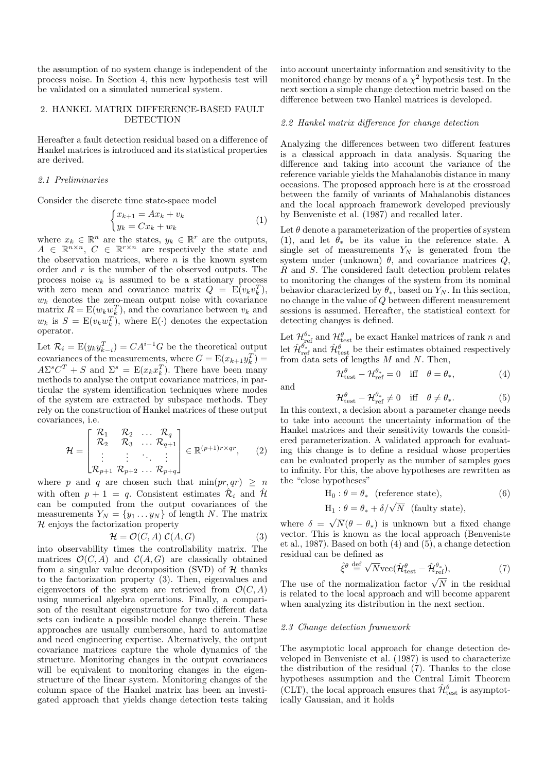the assumption of no system change is independent of the process noise. In Section 4, this new hypothesis test will be validated on a simulated numerical system.

#### 2. HANKEL MATRIX DIFFERENCE-BASED FAULT **DETECTION**

Hereafter a fault detection residual based on a difference of Hankel matrices is introduced and its statistical properties are derived.

#### 2.1 Preliminaries

Consider the discrete time state-space model

$$
\begin{cases} x_{k+1} = Ax_k + v_k \\ y_k = Cx_k + w_k \end{cases} \tag{1}
$$

where  $x_k \in \mathbb{R}^n$  are the states,  $y_k \in \mathbb{R}^r$  are the outputs,  $A \in \mathbb{R}^{n \times n}$ ,  $C \in \mathbb{R}^{r \times n}$  are respectively the state and the observation matrices, where  $n$  is the known system order and r is the number of the observed outputs. The process noise  $v_k$  is assumed to be a stationary process with zero mean and covariance matrix  $Q = E(v_k v_k^T)$ ,  $w_k$  denotes the zero-mean output noise with covariance matrix  $R = E(w_k w_k^T)$ , and the covariance between  $v_k$  and  $w_k$  is  $S = E(v_k w_k^T)$ , where  $E(\cdot)$  denotes the expectation operator.

Let  $\mathcal{R}_i = \mathbb{E}(y_k y_{k-i}^T) = C A^{i-1} G$  be the theoretical output covariances of the measurements, where  $G = E(x_{k+1}y_k^T) =$  $A\Sigma^s C^T + S$  and  $\Sigma^s = E(x_k x_k^T)$ . There have been many methods to analyse the output covariance matrices, in particular the system identification techniques where modes of the system are extracted by subspace methods. They rely on the construction of Hankel matrices of these output covariances, i.e.

$$
\mathcal{H} = \begin{bmatrix} \mathcal{R}_1 & \mathcal{R}_2 & \dots & \mathcal{R}_q \\ \mathcal{R}_2 & \mathcal{R}_3 & \dots & \mathcal{R}_{q+1} \\ \vdots & \vdots & \ddots & \vdots \\ \mathcal{R}_{p+1} & \mathcal{R}_{p+2} & \dots & \mathcal{R}_{p+q} \end{bmatrix} \in \mathbb{R}^{(p+1)r \times qr}, \qquad (2)
$$

where p and q are chosen such that  $\min(pr, qr) \geq n$ with often  $p + 1 = q$ . Consistent estimates  $\hat{\mathcal{R}}_i$  and  $\hat{\mathcal{H}}_i$ can be computed from the output covariances of the measurements  $Y_N = \{y_1 \dots y_N\}$  of length N. The matrix  $H$  enjoys the factorization property

$$
\mathcal{H} = \mathcal{O}(C, A) \ \mathcal{C}(A, G) \tag{3}
$$

into observability times the controllability matrix. The matrices  $\mathcal{O}(C, \hat{A})$  and  $\mathcal{C}(A, G)$  are classically obtained from a singular value decomposition (SVD) of  $H$  thanks to the factorization property (3). Then, eigenvalues and eigenvectors of the system are retrieved from  $\mathcal{O}(C, A)$ using numerical algebra operations. Finally, a comparison of the resultant eigenstructure for two different data sets can indicate a possible model change therein. These approaches are usually cumbersome, hard to automatize and need engineering expertise. Alternatively, the output covariance matrices capture the whole dynamics of the structure. Monitoring changes in the output covariances will be equivalent to monitoring changes in the eigenstructure of the linear system. Monitoring changes of the column space of the Hankel matrix has been an investigated approach that yields change detection tests taking into account uncertainty information and sensitivity to the monitored change by means of a  $\chi^2$  hypothesis test. In the next section a simple change detection metric based on the difference between two Hankel matrices is developed.

#### 2.2 Hankel matrix difference for change detection

Analyzing the differences between two different features is a classical approach in data analysis. Squaring the difference and taking into account the variance of the reference variable yields the Mahalanobis distance in many occasions. The proposed approach here is at the crossroad between the family of variants of Mahalanobis distances and the local approach framework developed previously by Benveniste et al. (1987) and recalled later.

Let  $\theta$  denote a parameterization of the properties of system (1), and let  $\theta_*$  be its value in the reference state. A single set of measurements  $Y_N$  is generated from the system under (unknown)  $\theta$ , and covariance matrices  $Q$ , R and S. The considered fault detection problem relates to monitoring the changes of the system from its nominal behavior characterized by  $\theta_*$ , based on  $Y_N$ . In this section, no change in the value of Q between different measurement sessions is assumed. Hereafter, the statistical context for detecting changes is defined.

Let  $\mathcal{H}_{\text{ref}}^{\theta*}$  and  $\mathcal{H}_{\text{test}}^{\theta}$  be exact Hankel matrices of rank n and let  $\hat{\mathcal{H}}_{\text{ref}}^{\theta_*}$  and  $\hat{\mathcal{H}}_{\text{test}}^{\theta}$  be their estimates obtained respectively from data sets of lengths  $M$  and  $N$ . Then,

$$
\mathcal{H}_{\text{test}}^{\theta} - \mathcal{H}_{\text{ref}}^{\theta_*} = 0 \quad \text{iff} \quad \theta = \theta_*, \tag{4}
$$

and

$$
\mathcal{H}_{\text{test}}^{\theta} - \mathcal{H}_{\text{ref}}^{\theta_*} \neq 0 \quad \text{iff} \quad \theta \neq \theta_*.
$$
 (5)

In this context, a decision about a parameter change needs to take into account the uncertainty information of the Hankel matrices and their sensitivity towards the considered parameterization. A validated approach for evaluating this change is to define a residual whose properties can be evaluated properly as the number of samples goes to infinity. For this, the above hypotheses are rewritten as the "close hypotheses"

$$
H_0: \theta = \theta_* \quad \text{(reference state)}, \tag{6}
$$

$$
H_1: \theta = \theta_* + \delta/\sqrt{N}
$$
 (faulty state),

where  $\delta =$ √  $N(\theta - \theta_*)$  is unknown but a fixed change vector. This is known as the local approach (Benveniste et al., 1987). Based on both (4) and (5), a change detection residual can be defined as √

$$
\hat{\xi}^{\theta} \stackrel{\text{def}}{=} \sqrt{N} \text{vec}(\hat{\mathcal{H}}_{\text{test}}^{\theta} - \hat{\mathcal{H}}_{\text{ref}}^{\theta_*}),\tag{7}
$$

The use of the normalization factor  $\sqrt{N}$  in the residual is related to the local approach and will become apparent when analyzing its distribution in the next section.

#### 2.3 Change detection framework

The asymptotic local approach for change detection developed in Benveniste et al. (1987) is used to characterize the distribution of the residual (7). Thanks to the close hypotheses assumption and the Central Limit Theorem (CLT), the local approach ensures that  $\hat{\mathcal{H}}^{\theta}_{\text{test}}$  is asymptotically Gaussian, and it holds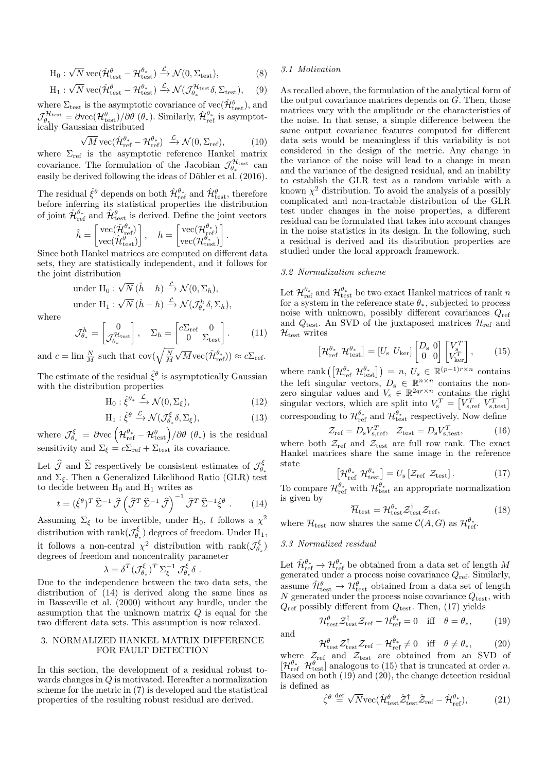$$
H_0: \sqrt{N} \, \text{vec}(\hat{\mathcal{H}}_{\text{test}}^{\theta} - \mathcal{H}_{\text{test}}^{\theta_*}) \xrightarrow{\mathcal{L}} \mathcal{N}(0, \Sigma_{\text{test}}), \tag{8}
$$

$$
H_1: \sqrt{N} \, \text{vec}(\hat{\mathcal{H}}_{\text{test}}^{\theta} - \mathcal{H}_{\text{test}}^{\theta_*}) \xrightarrow{\mathcal{L}} \mathcal{N}(\mathcal{J}_{\theta_*}^{\mathcal{H}_{\text{test}}} \delta, \Sigma_{\text{test}}), \quad (9)
$$

where  $\Sigma_{\text{test}}$  is the asymptotic covariance of  $\text{vec}(\hat{\mathcal{H}}_{\text{test}}^{\theta})$ , and  $\mathcal{J}_{\theta_{\ast}}^{\mathcal{H}_{\text{test}}} = \partial \text{vec}(\mathcal{H}_{\text{test}}^{\theta})/\partial \theta \; (\theta_{\ast}).$  Similarly,  $\hat{\mathcal{H}}_{\text{ref}}^{\theta_{\ast}}$  is asymptotically Gaussian distributed √

$$
\sqrt{M} \operatorname{vec}(\hat{\mathcal{H}}_{\operatorname{ref}}^{\theta_*} - \mathcal{H}_{\operatorname{ref}}^{\theta_*}) \xrightarrow{\mathcal{L}} \mathcal{N}(0, \Sigma_{\operatorname{ref}}), \tag{10}
$$

where  $\Sigma_{\text{ref}}$  is the asymptotic reference Hankel matrix covariance. The formulation of the Jacobian  $\mathcal{J}_{\theta_*}^{\mathcal{H}_{\text{test}}}$  can easily be derived following the ideas of Döhler et al. (2016).

The residual  $\hat{\xi}^{\theta}$  depends on both  $\hat{\mathcal{H}}_{\text{ref}}^{\theta}$  and  $\hat{\mathcal{H}}_{\text{test}}^{\theta}$ , therefore before inferring its statistical properties the distribution of joint  $\hat{\mathcal{H}}_{\text{ref}}^{\theta_*}$  and  $\hat{\mathcal{H}}_{\text{test}}^{\theta}$  is derived. Define the joint vectors

$$
\hat{h} = \begin{bmatrix} \text{vec}(\hat{\mathcal{H}}_{\text{ref}}^{\theta_*}) \\ \text{vec}(\hat{\mathcal{H}}_{\text{test}}^{\theta'}) \end{bmatrix}, \quad h = \begin{bmatrix} \text{vec}(\mathcal{H}_{\text{ref}}^{\theta_*}) \\ \text{vec}(\mathcal{H}_{\text{test}}^{\theta_*}) \end{bmatrix}.
$$

Since both Hankel matrices are computed on different data sets, they are statistically independent, and it follows for the joint distribution

under H<sub>0</sub>: 
$$
\sqrt{N} (\hat{h} - h) \xrightarrow{\mathcal{L}} \mathcal{N}(0, \Sigma_h),
$$
  
under H<sub>1</sub>:  $\sqrt{N} (\hat{h} - h) \xrightarrow{\mathcal{L}} \mathcal{N}(\mathcal{J}_{\theta_*}^h \delta, \Sigma_h),$ 

where

$$
\mathcal{J}_{\theta_*}^h = \begin{bmatrix} 0\\ \mathcal{J}_{\theta_*}^{\mathcal{H}_{\text{test}}} \end{bmatrix}, \quad \Sigma_h = \begin{bmatrix} c\Sigma_{\text{ref}} & 0\\ 0 & \Sigma_{\text{test}} \end{bmatrix}.
$$
 (11)

and  $c = \lim_{M \to \infty} \frac{N}{M}$  such that  $\text{cov}(\sqrt{\frac{N}{M}})$  $\sqrt{M} \text{vec}(\hat{\mathcal{H}}_{\text{ref}}^{\theta_*})) \approx c \Sigma_{\text{ref}}.$ 

The estimate of the residual  $\hat{\xi}^{\theta}$  is asymptotically Gaussian with the distribution properties

$$
H_0: \hat{\xi}^{\theta_*} \xrightarrow{\mathcal{L}} \mathcal{N}(0, \Sigma_{\xi}), \tag{12}
$$

$$
H_1: \hat{\xi}^{\theta} \xrightarrow{\mathcal{L}} \mathcal{N}(\mathcal{J}_{\theta_*}^{\xi} \delta, \Sigma_{\xi}), \tag{13}
$$

where  $\mathcal{J}^{\xi}_{\theta_*} = \partial \text{vec} \left( \mathcal{H}_{\text{ref}}^{\theta_*} - \mathcal{H}_{\text{test}}^{\theta} \right) / \partial \theta \; (\theta_*)$  is the residual sensitivity and  $\Sigma_{\xi} = c \Sigma_{\text{ref}} + \Sigma_{\text{test}}$  its covariance.

Let  $\widehat{\mathcal{J}}$  and  $\widehat{\Sigma}$  respectively be consistent estimates of  $\mathcal{J}_{\theta_*}^{\xi}$ and  $\Sigma_{\xi}$ . Then a Generalized Likelihood Ratio (GLR) test to decide between  $H_0$  and  $H_1$  writes as

$$
t = (\hat{\xi}^{\theta})^T \hat{\Sigma}^{-1} \hat{\mathcal{J}} \left( \hat{\mathcal{J}}^T \hat{\Sigma}^{-1} \hat{\mathcal{J}} \right)^{-1} \hat{\mathcal{J}}^T \hat{\Sigma}^{-1} \hat{\xi}^{\theta} . \qquad (14)
$$

Assuming  $\Sigma_{\xi}$  to be invertible, under H<sub>0</sub>, t follows a  $\chi^2$ distribution with  $\text{rank}(\mathcal{J}_{\theta_*}^\xi)$  degrees of freedom. Under  $\text{H}_1$ , it follows a non-central  $\chi^2$  distribution with rank $(\mathcal{J}_{\theta_*}^{\xi})$ degrees of freedom and noncentrality parameter

$$
\lambda = \delta^T (\mathcal{J}_{\theta_*}^{\xi})^T \, \Sigma_{\xi}^{-1} \, \mathcal{J}_{\theta_*}^{\xi} \delta \ .
$$

Due to the independence between the two data sets, the distribution of (14) is derived along the same lines as in Basseville et al. (2000) without any hurdle, under the assumption that the unknown matrix  $Q$  is equal for the two different data sets. This assumption is now relaxed.

#### 3. NORMALIZED HANKEL MATRIX DIFFERENCE FOR FAULT DETECTION

In this section, the development of a residual robust towards changes in Q is motivated. Hereafter a normalization scheme for the metric in (7) is developed and the statistical properties of the resulting robust residual are derived.

#### 3.1 Motivation

As recalled above, the formulation of the analytical form of the output covariance matrices depends on  $G$ . Then, those matrices vary with the amplitude or the characteristics of the noise. In that sense, a simple difference between the same output covariance features computed for different data sets would be meaningless if this variability is not considered in the design of the metric. Any change in the variance of the noise will lead to a change in mean and the variance of the designed residual, and an inability to establish the GLR test as a random variable with a known  $\chi^2$  distribution. To avoid the analysis of a possibly complicated and non-tractable distribution of the GLR test under changes in the noise properties, a different residual can be formulated that takes into account changes in the noise statistics in its design. In the following, such a residual is derived and its distribution properties are studied under the local approach framework.

#### 3.2 Normalization scheme

Let  $\mathcal{H}_{\text{ref}}^{\theta^*}$  and  $\mathcal{H}_{\text{test}}^{\theta^*}$  be two exact Hankel matrices of rank n for a system in the reference state  $\theta_*$ , subjected to process noise with unknown, possibly different covariances  $Q_{\text{ref}}$ and  $Q_{\text{test}}$ . An SVD of the juxtaposed matrices  $\mathcal{H}_{\text{ref}}$  and  $\mathcal{H}_{\text{test}}$  writes

$$
\left[\mathcal{H}_{\text{ref}}^{\theta_{*}} \ \mathcal{H}_{\text{test}}^{\theta_{*}}\right] = \left[U_{\text{s}} \ U_{\text{ker}}\right] \begin{bmatrix} D_{\text{s}} & 0\\ 0 & 0 \end{bmatrix} \begin{bmatrix} V_{\text{s}}^{T}\\ V_{\text{ker}}^{T} \end{bmatrix},\tag{15}
$$

where rank  $\left( \left[ \mathcal{H}_{\text{ref}}^{\theta_*} \ \mathcal{H}_{\text{test}}^{\theta_*} \right] \right) = n, \ U_s \in \mathbb{R}^{(p+1)r \times n}$  contains the left singular vectors,  $D_s \in \mathbb{R}^{n \times n}$  contains the nonzero singular values and  $V_s \in \mathbb{R}^{2q_r \times n}$  contains the right singular vectors, which are split into  $V_s^T = \begin{bmatrix} V_{s,\text{ref}}^T & V_{s,\text{test}}^T \end{bmatrix}$ corresponding to  $\mathcal{H}_{\text{ref}}^{\theta_*}$  and  $\mathcal{H}_{\text{test}}^{\theta_*}$  respectively. Now define

$$
\mathcal{Z}_{\text{ref}} = D_{\text{s}} V_{\text{s,ref}}^T, \quad \mathcal{Z}_{\text{test}} = D_{\text{s}} V_{\text{s,test}}^T,\tag{16}
$$

where both  $\mathcal{Z}_{\text{ref}}$  and  $\mathcal{Z}_{\text{test}}$  are full row rank. The exact Hankel matrices share the same image in the reference state

$$
\left[\mathcal{H}_{\text{ref}}^{\theta_*} \ \mathcal{H}_{\text{test}}^{\theta_*}\right] = U_s \left[\mathcal{Z}_{\text{ref}} \ \mathcal{Z}_{\text{test}}\right].\tag{17}
$$

To compare  $\mathcal{H}_{\text{ref}}^{\theta_*}$  with  $\mathcal{H}_{\text{test}}^{\theta_*}$  an appropriate normalization is given by

$$
\overline{\mathcal{H}}_{\text{test}} = \mathcal{H}_{\text{test}}^{\theta_*} \mathcal{Z}_{\text{test}}^{\dagger} \mathcal{Z}_{\text{ref}},\tag{18}
$$

where  $\overline{\mathcal{H}}_{\text{test}}$  now shares the same  $\mathcal{C}(A, G)$  as  $\mathcal{H}_{\text{ref}}^{\theta_*}$ .

#### 3.3 Normalized residual

Let  $\hat{\mathcal{H}}_{\text{ref}}^{\theta_*} \to \mathcal{H}_{\text{ref}}^{\theta_*}$  be obtained from a data set of length M generated under a process noise covariance  $Q_{ref}$ . Similarly, assume  $\hat{\mathcal{H}}_{\text{test}}^{\theta} \to \mathcal{H}_{\text{test}}^{\theta}$  obtained from a data set of length  $N$  generated under the process noise covariance  $Q_{\text{test}}$ , with  $Q_{\text{ref}}$  possibly different from  $Q_{\text{test}}$ . Then, (17) yields

$$
\mathcal{H}_{\text{test}}^{\theta} \mathcal{Z}_{\text{test}}^{\dagger} \mathcal{Z}_{\text{ref}} - \mathcal{H}_{\text{ref}}^{\theta_*} = 0 \quad \text{iff} \quad \theta = \theta_*, \tag{19}
$$

and

$$
\mathcal{H}_{\text{test}}^{\theta} \mathcal{Z}_{\text{test}}^{\dagger} \mathcal{Z}_{\text{ref}} - \mathcal{H}_{\text{ref}}^{\theta_*} \neq 0 \quad \text{iff} \quad \theta \neq \theta_*, \tag{20}
$$

where  $\mathcal{Z}_{\text{ref}}$  and  $\mathcal{Z}_{\text{test}}$  are obtained from an SVD of  $[\mathcal{H}_{\text{ref}}^{\theta_*} \ \mathcal{H}_{\text{test}}^{\theta}]$  analogous to (15) that is truncated at order n. Based on both (19) and (20), the change detection residual is defined as

$$
\hat{\zeta}^{\theta} \stackrel{\text{def}}{=} \sqrt{N} \text{vec}(\hat{\mathcal{H}}_{\text{test}}^{\theta} \hat{\mathcal{Z}}_{\text{test}}^{\dagger} \hat{\mathcal{Z}}_{\text{ref}} - \hat{\mathcal{H}}_{\text{ref}}^{\theta_*}), \tag{21}
$$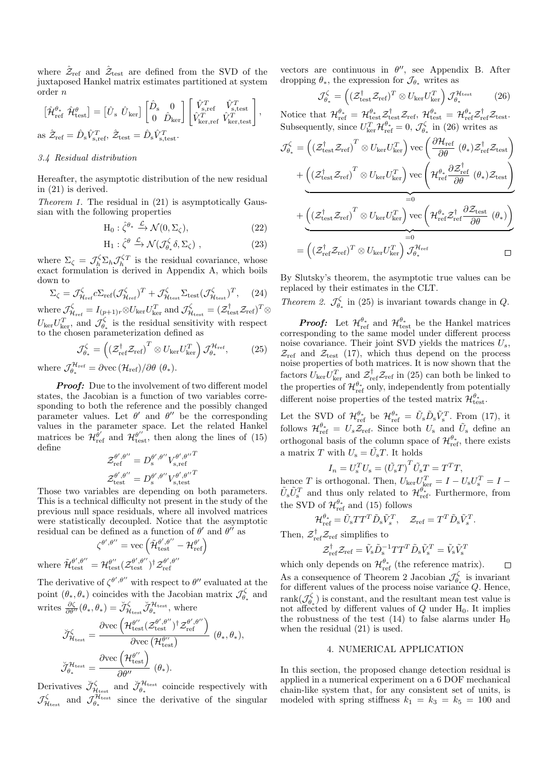where  $\hat{\mathcal{Z}}_{\text{ref}}$  and  $\hat{\mathcal{Z}}_{\text{test}}$  are defined from the SVD of the juxtaposed Hankel matrix estimates partitioned at system order n

$$
\begin{bmatrix} \hat{\mathcal{H}}_{\text{ref}}^{\theta_{*}} \ \hat{\mathcal{H}}_{\text{test}}^{\theta} \end{bmatrix} = \begin{bmatrix} \hat{U}_{s} \ \hat{U}_{\text{ker}} \end{bmatrix} \begin{bmatrix} \hat{D}_{s} & 0 \\ 0 & \hat{D}_{\text{ker}} \end{bmatrix} \begin{bmatrix} \hat{V}_{s,\text{ref}}^{T} & \hat{V}_{s,\text{test}}^{T} \\ \hat{V}_{\text{ker,ref}}^{T} \ \hat{V}_{\text{ker,test}}^{T} \end{bmatrix},
$$
as  $\hat{Z}_{\text{ref}} = \hat{D}_{s} \hat{V}_{s,\text{ref}}^{T}$ ,  $\hat{Z}_{\text{test}} = \hat{D}_{s} \hat{V}_{s,\text{test}}^{T}$ .

#### 3.4 Residual distribution

Hereafter, the asymptotic distribution of the new residual in (21) is derived.

Theorem 1. The residual in (21) is asymptotically Gaussian with the following properties

$$
H_0: \hat{\zeta}^{\theta_*} \xrightarrow{\mathcal{L}} \mathcal{N}(0, \Sigma_{\zeta}), \tag{22}
$$

$$
H_1: \hat{\zeta}^{\theta} \xrightarrow{\mathcal{L}} \mathcal{N}(\mathcal{J}_{\theta_*}^{\zeta} \delta, \Sigma_{\zeta}), \qquad (23)
$$

where  $\Sigma_{\zeta} = \mathcal{J}_{h}^{\zeta} \Sigma_{h} \mathcal{J}_{h}^{\zeta T}$  is the residual covariance, whose exact formulation is derived in Appendix A, which boils down to

$$
\Sigma_{\zeta} = \mathcal{J}_{\mathcal{H}_{\text{ref}}}^{\zeta} c \Sigma_{\text{ref}} (\mathcal{J}_{\mathcal{H}_{\text{ref}}}^{\zeta})^T + \mathcal{J}_{\mathcal{H}_{\text{test}}}^{\zeta} \Sigma_{\text{test}} (\mathcal{J}_{\mathcal{H}_{\text{test}}}^{\zeta})^T, \quad (24)
$$

where  $\mathcal{J}^{\zeta}_{\mathcal{H}_{\text{ref}}} = I_{(p+1)r} \otimes U_{\text{ker}} U_{\text{ker}}^T$  and  $\mathcal{J}^{\zeta}_{\mathcal{H}_{\text{test}}} = (\mathcal{Z}_{\text{test}}^\dagger \mathcal{Z}_{\text{ref}})^T \otimes$  $U_{\text{ker}}U_{\text{ker}}^T$ , and  $\mathcal{J}_{\theta_*}^{\zeta}$  is the residual sensitivity with respect to the chosen parameterization defined as

$$
\mathcal{J}_{\theta_*}^{\zeta} = \left( \left( \mathcal{Z}_{\text{ref}}^{\dagger} \mathcal{Z}_{\text{ref}} \right)^T \otimes U_{\text{ker}} U_{\text{ker}}^T \right) \mathcal{J}_{\theta_*}^{\mathcal{H}_{\text{ref}}},\tag{25}
$$

where  $\mathcal{J}_{\theta_*}^{\mathcal{H}_{\text{ref}}} = \partial \text{vec}(\mathcal{H}_{\text{ref}})/\partial \theta \; (\theta_*).$ 

Proof: Due to the involvement of two different model states, the Jacobian is a function of two variables corresponding to both the reference and the possibly changed parameter values. Let  $\theta'$  and  $\theta''$  be the corresponding values in the parameter space. Let the related Hankel matrices be  $\mathcal{H}_{\text{ref}}^{\theta'}$  and  $\mathcal{H}_{\text{test}}^{\theta''}$ , then along the lines of (15) define

$$
\begin{aligned} \mathcal{Z}^{\theta',\theta''}_{\mathrm{ref}} &= D^{\theta',\theta''}_{\mathrm{s}} V^{\theta',\theta''}_{\mathrm{s},\mathrm{ref}} \\ \mathcal{Z}^{\theta',\theta''}_{\mathrm{test}} &= D^{\theta',\theta''}_{\mathrm{s}} V^{\theta',\theta''}_{\mathrm{s},\mathrm{test}} \end{aligned}
$$

Those two variables are depending on both parameters. This is a technical difficulty not present in the study of the previous null space residuals, where all involved matrices were statistically decoupled. Notice that the asymptotic residual can be defined as a function of  $\theta'$  and  $\theta''$  as

$$
\zeta^{\theta',\theta''} = \text{vec}\left(\tilde{\mathcal{H}}_{\text{test}}^{\theta',\theta''} - \mathcal{H}_{\text{ref}}^{\theta'}\right)
$$
  
where 
$$
\tilde{\mathcal{H}}_{\text{test}}^{\theta',\theta''} = \mathcal{H}_{\text{test}}^{\theta',\theta''} (\mathcal{Z}_{\text{test}}^{\theta',\theta''})^{\dagger} \mathcal{Z}_{\text{ref}}^{\theta',\theta''}
$$

The derivative of  $\zeta^{\theta',\theta''}$  with respect to  $\theta''$  evaluated at the point  $(\theta_*, \theta_*)$  coincides with the Jacobian matrix  $\mathcal{J}_{\theta_*}^{\zeta}$  and writes  $\frac{\partial \zeta}{\partial \theta''}(\theta_*, \theta_*) = \check{\mathcal{J}}_{\mathcal{H}_{\text{test}}}^{\zeta} \check{\mathcal{J}}_{\theta_*}^{\mathcal{H}_{\text{test}}}$ , where

$$
\label{eq:JHtest} \begin{aligned} \breve{\mathcal{J}}^{\zeta}_{\mathcal{H}_{\text{test}}} &= \frac{\partial \text{vec}\left(\mathcal{H}_{\text{test}}^{\theta', \theta''}\right)^{\dagger}\mathcal{Z}_{\text{ref}}^{\theta', \theta''}}{\partial \text{vec}\left(\mathcal{H}_{\text{test}}^{\theta'}\right)} \ (\theta_*, \theta_*), \\ \breve{\mathcal{J}}^{\mathcal{H}_{\text{test}}}_{\theta_*} &= \frac{\partial \text{vec}\left(\mathcal{H}_{\text{test}}^{\theta''}\right)}{\partial \theta''} \ (\theta_*). \end{aligned}
$$

Derivatives  $\check{\mathcal{J}}_{\mathcal{H}_{\text{test}}}^{\zeta}$  and  $\check{\mathcal{J}}_{\theta_*}^{\mathcal{H}_{\text{test}}}$  coincide respectively with  $\mathcal{J}^{\zeta}_{\mathcal{H}_{\text{test}}}$  and  $\mathcal{J}^{\mathcal{H}_{\text{test}}}_{\theta_{*}}$  since the derivative of the singular

vectors are continuous in  $\theta''$ , see Appendix B. After dropping  $\theta_*$ , the expression for  $\mathcal{J}_{\theta_*}$  writes as

$$
\mathcal{J}_{\theta_*}^{\zeta} = \left( (\mathcal{Z}_{\text{test}}^{\dagger} \mathcal{Z}_{\text{ref}})^T \otimes U_{\text{ker}} U_{\text{ker}}^T \right) \mathcal{J}_{\theta_*}^{\mathcal{H}_{\text{test}}} \tag{26}
$$

Notice that  $\mathcal{H}_{\text{ref}}^{\theta_*} = \mathcal{H}_{\text{test}}^{\theta_*} \mathcal{Z}_{\text{test}}^{\dagger} \mathcal{Z}_{\text{ref}}, \ \mathcal{H}_{\text{test}}^{\theta_*} = \mathcal{H}_{\text{ref}}^{\theta_*} \mathcal{Z}_{\text{test}}^{\dagger} \mathcal{Z}_{\text{test}}.$ Subsequently, since  $U_{\text{ker}}^T \mathcal{H}_{\text{ref}}^{\theta_*} = 0$ ,  $\mathcal{J}_{\theta_*}^{\zeta}$  in (26) writes as

$$
\mathcal{J}_{\theta_{*}}^{\zeta} = \left( \left( \mathcal{Z}_{\text{test}}^{\dagger} \mathcal{Z}_{\text{ref}} \right)^{T} \otimes U_{\text{ker}} U_{\text{ker}}^{T} \right) \text{vec} \left( \frac{\partial \mathcal{H}_{\text{ref}}}{\partial \theta} \left( \theta_{*} \right) \mathcal{Z}_{\text{ref}}^{\dagger} \mathcal{Z}_{\text{test}} \right) \newline + \underbrace{\left( \left( \mathcal{Z}_{\text{test}}^{\dagger} \mathcal{Z}_{\text{ref}} \right)^{T} \otimes U_{\text{ker}} U_{\text{ker}}^{T} \right) \text{vec} \left( \mathcal{H}_{\text{ref}}^{\theta_{*}} \frac{\partial \mathcal{Z}_{\text{ref}}^{\dagger}}{\partial \theta} \left( \theta_{*} \right) \mathcal{Z}_{\text{test}} \right)}_{=0} \newline + \underbrace{\left( \left( \mathcal{Z}_{\text{test}}^{\dagger} \mathcal{Z}_{\text{ref}} \right)^{T} \otimes U_{\text{ker}} U_{\text{ker}}^{T} \right) \text{vec} \left( \mathcal{H}_{\text{ref}}^{\theta_{*}} \mathcal{Z}_{\text{ref}}^{\dagger} \frac{\partial \mathcal{Z}_{\text{test}}}{\partial \theta} \left( \theta_{*} \right) \right)}_{=0} \newline = \left( \left( \mathcal{Z}_{\text{ref}}^{\dagger} \mathcal{Z}_{\text{ref}} \right)^{T} \otimes U_{\text{ker}} U_{\text{ker}}^{T} \right) \mathcal{J}_{\theta_{*}}^{\mathcal{H}_{\text{ref}}} \qquad \qquad \Box
$$

By Slutsky's theorem, the asymptotic true values can be replaced by their estimates in the CLT.

Theorem 2.  $\mathcal{J}_{\theta_*}^{\zeta}$  in (25) is invariant towards change in Q.

**Proof:** Let  $\mathcal{H}_{\text{ref}}^{\theta_*}$  and  $\mathcal{H}_{\text{test}}^{\theta_*}$  be the Hankel matrices corresponding to the same model under different process noise covariance. Their joint SVD yields the matrices  $U_s$ ,  $\mathcal{Z}_{\text{ref}}$  and  $\mathcal{Z}_{\text{test}}$  (17), which thus depend on the process noise properties of both matrices. It is now shown that the factors  $U_{\text{ker}} U_{\text{ker}}^T$  and  $\mathcal{Z}_{\text{ref}}^{\dagger} \mathcal{Z}_{\text{ref}}$  in (25) can both be linked to the properties of  $\mathcal{H}_{\mathrm{ref}}^{\theta_*}$  only, independently from potentially different noise properties of the tested matrix  $\mathcal{H}_{\text{test}}^{\theta_*}$ .

Let the SVD of  $\mathcal{H}_{\text{ref}}^{\theta_*}$  be  $\mathcal{H}_{\text{ref}}^{\theta_*} = \tilde{U}_s \tilde{D}_s \tilde{V}_s^T$ . From (17), it follows  $\mathcal{H}_{\text{ref}}^{\theta*} = U_s \mathcal{Z}_{\text{ref}}$ . Since both  $U_s$  and  $\tilde{U}_s$  define an orthogonal basis of the column space of  $\mathcal{H}_{\text{ref}}^{\theta_*}$ , there exists a matrix T with  $U_{\rm s} = \tilde{U}_{\rm s}T$ . It holds

$$
I_n = U_s^T U_s = \left(\tilde{U}_s T\right)^T \tilde{U}_s T = T^T T,
$$

hence T is orthogonal. Then,  $U_{\text{ker}}U_{\text{ker}}^T = I - U_{\text{s}}U_{\text{s}}^T = I \tilde{U}_s \tilde{U}_s^T$  and thus only related to  $\mathcal{H}_{\text{ref}}^{\theta_*}$ . Furthermore, from the SVD of  $\mathcal{H}_{\text{ref}}^{\theta_*}$  and (15) follows

$$
\mathcal{H}_{\mathrm{ref}}^{\theta_*}=\tilde{U}_{\mathrm{s}}TT^T\tilde{D}_{\mathrm{s}}\tilde{V}^T_{s},\quad \mathcal{Z}_{\mathrm{ref}}=T^T\tilde{D}_{\mathrm{s}}\tilde{V}^T_{s}.
$$

Then,  $\mathcal{Z}_{\text{ref}}^{\dagger} \mathcal{Z}_{\text{ref}}$  simplifies to

$$
\mathcal{Z}_\textrm{ref}^\dagger \mathcal{Z}_\textrm{ref} = \tilde{V}_\textrm{s} \tilde{D}_\textrm{s}^{-1} T T^T \tilde{D}_\textrm{s} \tilde{V}_\textrm{s}^T = \tilde{V}_\textrm{s} \tilde{V}_\textrm{s}^T
$$

which only depends on  $\mathcal{H}_{ref}^{\theta_*}$  (the reference matrix).  $\Box$ As a consequence of Theorem 2 Jacobian  $\mathcal{J}_{\theta_*}^{\zeta}$  is invariant for different values of the process noise variance Q. Hence, rank $(\mathcal{J}_{\theta_*}^{\zeta})$  is constant, and the resultant mean test value is not affected by different values of  $Q$  under  $H_0$ . It implies the robustness of the test (14) to false alarms under  $H_0$ when the residual (21) is used.

#### 4. NUMERICAL APPLICATION

In this section, the proposed change detection residual is applied in a numerical experiment on a 6 DOF mechanical chain-like system that, for any consistent set of units, is modeled with spring stiffness  $k_1 = k_3 = k_5 = 100$  and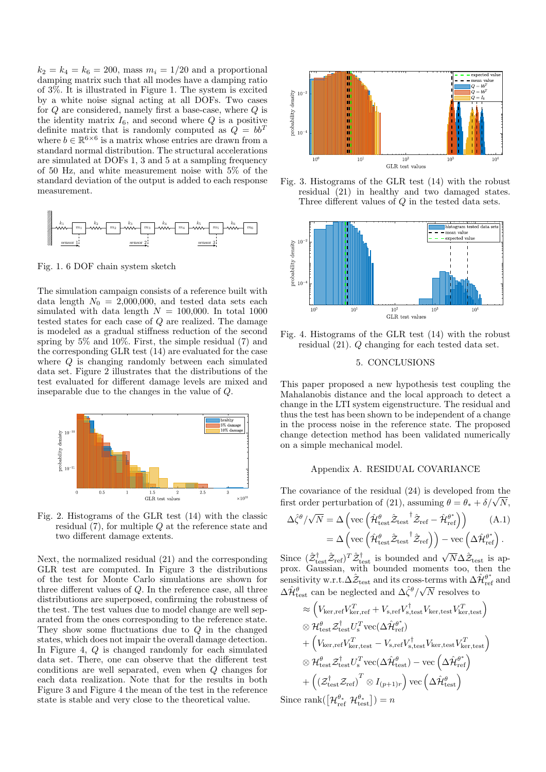$k_2 = k_4 = k_6 = 200$ , mass  $m_i = 1/20$  and a proportional damping matrix such that all modes have a damping ratio of 3%. It is illustrated in Figure 1. The system is excited by a white noise signal acting at all DOFs. Two cases for Q are considered, namely first a base-case, where Q is the identity matrix  $I_6$ , and second where Q is a positive definite matrix that is randomly computed as  $\overline{Q} = bb^T$ where  $b \in \mathbb{R}^{6 \times 6}$  is a matrix whose entries are drawn from a standard normal distribution. The structural accelerations are simulated at DOFs 1, 3 and 5 at a sampling frequency of 50 Hz, and white measurement noise with 5% of the standard deviation of the output is added to each response measurement.



Fig. 1. 6 DOF chain system sketch

The simulation campaign consists of a reference built with data length  $N_0 = 2,000,000$ , and tested data sets each simulated with data length  $N = 100,000$ . In total 1000 tested states for each case of Q are realized. The damage is modeled as a gradual stiffness reduction of the second spring by 5% and 10%. First, the simple residual (7) and the corresponding GLR test (14) are evaluated for the case where Q is changing randomly between each simulated data set. Figure 2 illustrates that the distributions of the test evaluated for different damage levels are mixed and inseparable due to the changes in the value of Q.



Fig. 2. Histograms of the GLR test (14) with the classic residual (7), for multiple Q at the reference state and two different damage extents.

Next, the normalized residual (21) and the corresponding GLR test are computed. In Figure 3 the distributions of the test for Monte Carlo simulations are shown for three different values of Q. In the reference case, all three distributions are superposed, confirming the robustness of the test. The test values due to model change are well separated from the ones corresponding to the reference state. They show some fluctuations due to Q in the changed states, which does not impair the overall damage detection. In Figure 4, Q is changed randomly for each simulated data set. There, one can observe that the different test conditions are well separated, even when Q changes for each data realization. Note that for the results in both Figure 3 and Figure 4 the mean of the test in the reference state is stable and very close to the theoretical value.



Fig. 3. Histograms of the GLR test (14) with the robust residual (21) in healthy and two damaged states. Three different values of Q in the tested data sets.



Fig. 4. Histograms of the GLR test (14) with the robust residual (21). Q changing for each tested data set.

#### 5. CONCLUSIONS

This paper proposed a new hypothesis test coupling the Mahalanobis distance and the local approach to detect a change in the LTI system eigenstructure. The residual and thus the test has been shown to be independent of a change in the process noise in the reference state. The proposed change detection method has been validated numerically on a simple mechanical model.

#### Appendix A. RESIDUAL COVARIANCE

The covariance of the residual (24) is developed from the The covariance of the residual (24) is developed from the<br>first order perturbation of (21), assuming  $\theta = \theta_* + \delta/\sqrt{N}$ ,

$$
\Delta \hat{\zeta}^{\theta}/\sqrt{N} = \Delta \left( \text{vec} \left( \hat{\mathcal{H}}_{\text{test}}^{\theta} \hat{\mathcal{Z}}_{\text{test}}^{\dagger} \hat{\mathcal{Z}}_{\text{ref}} - \hat{\mathcal{H}}_{\text{ref}}^{\theta^{*}} \right) \right) \qquad (A.1)
$$

$$
= \Delta \left( \text{vec} \left( \hat{\mathcal{H}}_{\text{test}}^{\theta} \hat{\mathcal{Z}}_{\text{test}}^{\dagger} \hat{\mathcal{Z}}_{\text{ref}} \right) \right) - \text{vec} \left( \Delta \hat{\mathcal{H}}_{\text{ref}}^{\theta^{*}} \right).
$$

Since  $(\hat{z}_{\text{test}}^{\dagger} \hat{z}_{\text{ref}})^{T} \hat{z}_{\text{test}}^{\dagger}$  is bounded and  $\sqrt{N} \Delta \hat{z}_{\text{test}}$  is approx. Gaussian, with bounded moments too, then the sensitivity w.r.t. $\Delta \hat{\mathcal{Z}}_{\text{test}}$  and its cross-terms with  $\Delta \hat{\mathcal{H}}_{\text{ref}}^{\theta^*}$  and  $\Delta \hat{\mathcal{H}}^{\theta}_{\text{test}}$  can be neglected and  $\Delta \hat{\zeta}^{\theta}/\sqrt{N}$  resolves to

$$
\approx \left(V_{\text{ker,ref}}V_{\text{ker,ref}}^T + V_{\text{s,ref}}V_{\text{s,test}}^\dagger V_{\text{ker,test}}V_{\text{ker,test}}^T\right) \n\otimes \mathcal{H}_{\text{test}}^\theta \mathcal{Z}_{\text{test}}^\dagger U_s^T \text{vec}(\Delta \hat{\mathcal{H}}_{\text{ref}}^{\theta^*}) \n+ \left(V_{\text{ker,ref}}V_{\text{ker,test}}^T - V_{\text{s,ref}}V_{\text{s,test}}^\dagger V_{\text{ker,test}}^T V_{\text{ker,test}}^T\right) \n\otimes \mathcal{H}_{\text{test}}^\theta \mathcal{Z}_{\text{test}}^\dagger U_s^T \text{vec}(\Delta \hat{\mathcal{H}}_{\text{test}}^\theta) - \text{vec}\left(\Delta \hat{\mathcal{H}}_{\text{ref}}^{\theta^*}\right) \n+ \left((\mathcal{Z}_{\text{test}}^\dagger \mathcal{Z}_{\text{ref}})^T \otimes I_{(p+1)r}\right) \text{vec}\left(\Delta \hat{\mathcal{H}}_{\text{test}}^\theta\right) \n\text{vec} \text{rank}([\mathcal{H}^{\theta*}, \mathcal{H}^{\theta*}, \cdot]) = n
$$

Since  $\text{rank}(\left[\mathcal{H}_{\text{ref}}^{\theta_*} \ \mathcal{H}_{\text{test}}^{\theta_*}\right]) = n$